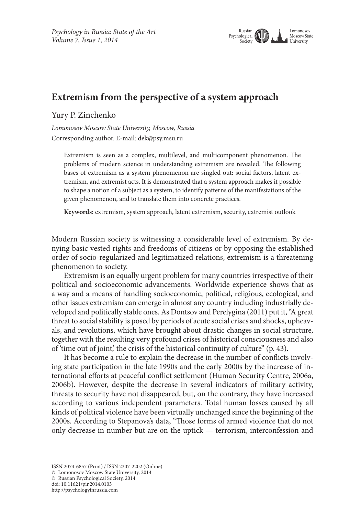

# **Extremism from the perspective of a system approach**

Yury P. Zinchenko

*Lomonosov Moscow State University, Moscow, Russia* Corresponding author. E-mail: dek@psy.msu.ru

Extremism is seen as a complex, multilevel, and multicomponent phenomenon. The problems of modern science in understanding extremism are revealed. The following bases of extremism as a system phenomenon are singled out: social factors, latent extremism, and extremist acts. It is demonstrated that a system approach makes it possible to shape a notion of a subject as a system, to identify patterns of the manifestations of the given phenomenon, and to translate them into concrete practices.

**Keywords:** extremism, system approach, latent extremism, security, extremist outlook

Modern Russian society is witnessing a considerable level of extremism. By denying basic vested rights and freedoms of citizens or by opposing the established order of socio-regularized and legitimatized relations, extremism is a threatening phenomenon to society.

Extremism is an equally urgent problem for many countries irrespective of their political and socioeconomic advancements. Worldwide experience shows that as a way and a means of handling socioeconomic, political, religious, ecological, and other issues extremism can emerge in almost any country including industrially developed and politically stable ones. As Dontsov and Perelygina (2011) put it, "A great threat to social stability is posed by periods of acute social crises and shocks, upheavals, and revolutions, which have brought about drastic changes in social structure, together with the resulting very profound crises of historical consciousness and also of 'time out of joint,' the crisis of the historical continuity of culture" (p. 43).

It has become a rule to explain the decrease in the number of conflicts involving state participation in the late 1990s and the early 2000s by the increase of international efforts at peaceful conflict settlement (Human Security Centre, 2006a, 2006b). However, despite the decrease in several indicators of military activity, threats to security have not disappeared, but, on the contrary, they have increased according to various independent parameters. Total human losses caused by all kinds of political violence have been virtually unchanged since the beginning of the 2000s. According to Stepanova's data, "Those forms of armed violence that do not only decrease in number but are on the uptick — terrorism, interconfession and

ISSN 2074-6857 (Print) / ISSN 2307-2202 (Online)

<sup>©</sup> Lomonosov Moscow State University, 2014

<sup>©</sup> Russian Psychological Society, 2014

doi: 10.11621/pir.2014.0103

http://psychologyinrussia.com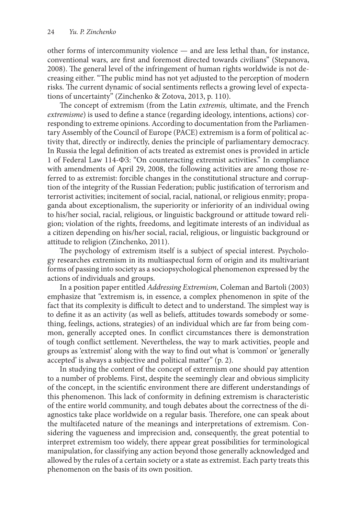other forms of intercommunity violence — and are less lethal than, for instance, conventional wars, are first and foremost directed towards civilians" (Stepanova, 2008). The general level of the infringement of human rights worldwide is not decreasing either. "The public mind has not yet adjusted to the perception of modern risks. The current dynamic of social sentiments reflects a growing level of expectations of uncertainty" (Zinchenko & Zotova, 2013, p. 110).

The concept of extremism (from the Latin *extremis,* ultimate, and the French *extremisme*) is used to define a stance (regarding ideology, intentions, actions) corresponding to extreme opinions. According to documentation from the Parliamentary Assembly of the Council of Europe (PACE) extremism is a form of political activity that, directly or indirectly, denies the principle of parliamentary democracy. In Russia the legal definition of acts treated as extremist ones is provided in article 1 of Federal Law 114-ФЗ: "On counteracting extremist activities." In compliance with amendments of April 29, 2008, the following activities are among those referred to as extremist: forcible changes in the constitutional structure and corruption of the integrity of the Russian Federation; public justification of terrorism and terrorist activities; incitement of social, racial, national, or religious enmity; propaganda about exceptionalism, the superiority or inferiority of an individual owing to his/her social, racial, religious, or linguistic background or attitude toward religion; violation of the rights, freedoms, and legitimate interests of an individual as a citizen depending on his/her social, racial, religious, or linguistic background or attitude to religion (Zinchenko, 2011).

The psychology of extremism itself is a subject of special interest. Psychology researches extremism in its multiaspectual form of origin and its multivariant forms of passing into society as a sociopsychological phenomenon expressed by the actions of individuals and groups.

In a position paper entitled *Addressing Extremism,* Coleman and Bartoli (2003) emphasize that "extremism is, in essence, a complex phenomenon in spite of the fact that its complexity is difficult to detect and to understand. The simplest way is to define it as an activity (as well as beliefs, attitudes towards somebody or something, feelings, actions, strategies) of an individual which are far from being common, generally accepted ones. In conflict circumstances there is demonstration of tough conflict settlement. Nevertheless, the way to mark activities, people and groups as 'extremist' along with the way to find out what is 'common' or 'generally accepted' is always a subjective and political matter" (p. 2).

In studying the content of the concept of extremism one should pay attention to a number of problems. First, despite the seemingly clear and obvious simplicity of the concept, in the scientific environment there are different understandings of this phenomenon. This lack of conformity in defining extremism is characteristic of the entire world community, and tough debates about the correctness of the diagnostics take place worldwide on a regular basis. Therefore, one can speak about the multifaceted nature of the meanings and interpretations of extremism. Considering the vagueness and imprecision and, consequently, the great potential to interpret extremism too widely, there appear great possibilities for terminological manipulation, for classifying any action beyond those generally acknowledged and allowed by the rules of a certain society or a state as extremist. Each party treats this phenomenon on the basis of its own position.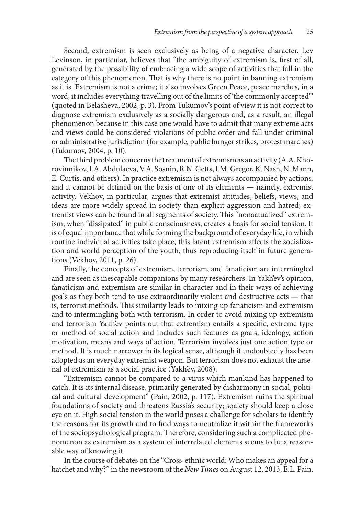Second, extremism is seen exclusively as being of a negative character. Lev Levinson, in particular, believes that "the ambiguity of extremism is, first of all, generated by the possibility of embracing a wide scope of activities that fall in the category of this phenomenon. That is why there is no point in banning extremism as it is. Extremism is not a crime; it also involves Green Peace, peace marches, in a word, it includes everything travelling out of the limits of 'the commonly accepted'" (quoted in Belasheva, 2002, p. 3). From Tukumov's point of view it is not correct to diagnose extremism exclusively as a socially dangerous and, as a result, an illegal phenomenon because in this case one would have to admit that many extreme acts and views could be considered violations of public order and fall under criminal or administrative jurisdiction (for example, public hunger strikes, protest marches) (Tukumov, 2004, p. 10).

The third problem concerns the treatment of extremism as an activity (A.A.Khorovinnikov, I.A. Abdulaeva, V.A. Sosnin, R.N. Getts, I.M. Gregor, K. Nash, N. Mann, E. Curtis, and others). In practice extremism is not always accompanied by actions, and it cannot be defined on the basis of one of its elements — namely, extremist activity. Vekhov, in particular, argues that extremist attitudes, beliefs, views, and ideas are more widely spread in society than explicit aggression and hatred; extremist views can be found in all segments of society. This "nonactualized" extremism, when "dissipated" in public consciousness, creates a basis for social tension. It is of equal importance that while forming the background of everyday life, in which routine individual activities take place, this latent extremism affects the socialization and world perception of the youth, thus reproducing itself in future generations (Vekhov, 2011, p. 26).

Finally, the concepts of extremism, terrorism, and fanaticism are intermingled and are seen as inescapable companions by many researchers. In Yakh'ev's opinion, fanaticism and extremism are similar in character and in their ways of achieving goals as they both tend to use extraordinarily violent and destructive acts — that is, terrorist methods. This similarity leads to mixing up fanaticism and extremism and to intermingling both with terrorism. In order to avoid mixing up extremism and terrorism Yakh'ev points out that extremism entails a specific, extreme type or method of social action and includes such features as goals, ideology, action motivation, means and ways of action. Terrorism involves just one action type or method. It is much narrower in its logical sense, although it undoubtedly has been adopted as an everyday extremist weapon. But terrorism does not exhaust the arsenal of extremism as a social practice (Yakh'ev, 2008).

"Extremism cannot be compared to a virus which mankind has happened to catch. It is its internal disease, primarily generated by disharmony in social, political and cultural development" (Pain, 2002, p. 117). Extremism ruins the spiritual foundations of society and threatens Russia's security; society should keep a close eye on it. High social tension in the world poses a challenge for scholars to identify the reasons for its growth and to find ways to neutralize it within the frameworks of the sociopsychological program. Therefore, considering such a complicated phenomenon as extremism as a system of interrelated elements seems to be a reasonable way of knowing it.

In the course of debates on the "Cross-ethnic world: Who makes an appeal for a hatchet and why?" in the newsroom of the *New Times* on August 12, 2013, E.L. Pain,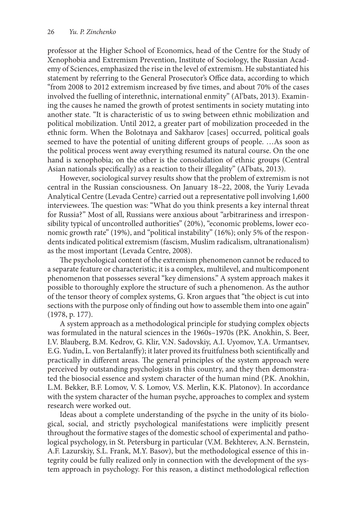professor at the Higher School of Economics, head of the Centre for the Study of Xenophobia and Extremism Prevention, Institute of Sociology, the Russian Academy of Sciences, emphasized the rise in the level of extremism. He substantiated his statement by referring to the General Prosecutor's Office data, according to which "from 2008 to 2012 extremism increased by five times, and about 70% of the cases involved the fuelling of interethnic, international enmity" (Al'bats, 2013). Examining the causes he named the growth of protest sentiments in society mutating into another state. "It is characteristic of us to swing between ethnic mobilization and political mobilization. Until 2012, a greater part of mobilization proceeded in the ethnic form. When the Bolotnaya and Sakharov [cases] occurred, political goals seemed to have the potential of uniting different groups of people. …As soon as the political process went away everything resumed its natural course. On the one hand is xenophobia; on the other is the consolidation of ethnic groups (Central Asian nationals specifically) as a reaction to their illegality" (Al'bats, 2013).

However, sociological survey results show that the problem of extremism is not central in the Russian consciousness. On January 18–22, 2008, the Yuriy Levada Analytical Centre (Levada Centre) carried out a representative poll involving 1,600 interviewees. The question was: "What do you think presents a key internal threat for Russia?" Most of all, Russians were anxious about "arbitrariness and irresponsibility typical of uncontrolled authorities" (20%), "economic problems, lower economic growth rate" (19%), and "political instability" (16%); only 5% of the respondents indicated political extremism (fascism, Muslim radicalism, ultranationalism) as the most important (Levada Centre, 2008).

The psychological content of the extremism phenomenon cannot be reduced to a separate feature or characteristic; it is a complex, multilevel, and multicomponent phenomenon that possesses several "key dimensions." A system approach makes it possible to thoroughly explore the structure of such a phenomenon. As the author of the tensor theory of complex systems, G. Kron argues that "the object is cut into sections with the purpose only of finding out how to assemble them into one again" (1978, p. 177).

A system approach as a methodological principle for studying complex objects was formulated in the natural sciences in the 1960s–1970s (P.K. Anokhin, S. Beer, I.V. Blauberg, B.M. Kedrov, G. Klir, V.N. Sadovskiy, A.I. Uyomov, Y.A. Urmantsev, E.G. Yudin, L. von Bertalanffy); it later proved its fruitfulness both scientifically and practically in different areas. The general principles of the system approach were perceived by outstanding psychologists in this country, and they then demonstrated the biosocial essence and system character of the human mind (P.K. Anokhin, L.M. Bekker, B.F. Lomov, V. S. Lomov, V.S. Merlin, K.K. Platonov). In accordance with the system character of the human psyche, approaches to complex and system research were worked out.

Ideas about a complete understanding of the psyche in the unity of its biological, social, and strictly psychological manifestations were implicitly present throughout the formative stages of the domestic school of experimental and pathological psychology, in St. Petersburg in particular (V.M. Bekhterev, A.N. Bernstein, A.F. Lazurskiy, S.L. Frank, M.Y. Basov), but the methodological essence of this integrity could be fully realized only in connection with the development of the system approach in psychology. For this reason, a distinct methodological reflection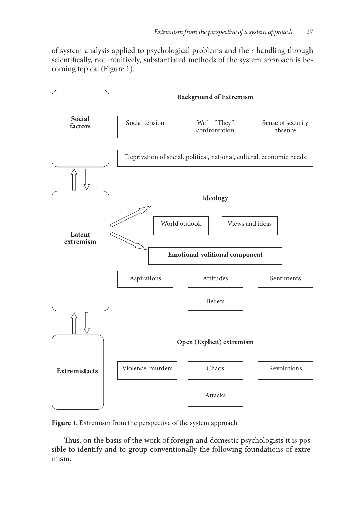of system analysis applied to psychological problems and their handling through scientifically, not intuitively, substantiated methods of the system approach is becoming topical (Figure 1).



Figure 1. Extremism from the perspective of the system approach

Thus, on the basis of the work of foreign and domestic psychologists it is possible to identify and to group conventionally the following foundations of extremism.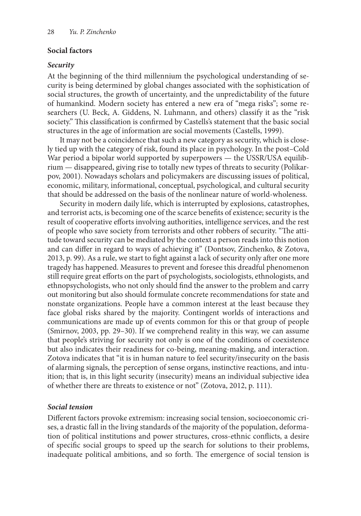## **Social factors**

## *Security*

At the beginning of the third millennium the psychological understanding of security is being determined by global changes associated with the sophistication of social structures, the growth of uncertainty, and the unpredictability of the future of humankind. Modern society has entered a new era of "mega risks"; some researchers (U. Beck, A. Giddens, N. Luhmann, and others) classify it as the "risk society." This classification is confirmed by Castells's statement that the basic social structures in the age of information are social movements (Castells, 1999).

It may not be a coincidence that such a new category as security, which is closely tied up with the category of risk, found its place in psychology. In the post–Cold War period a bipolar world supported by superpowers — the USSR/USA equilibrium — disappeared, giving rise to totally new types of threats to security (Polikarpov, 2001). Nowadays scholars and policymakers are discussing issues of political, economic, military, informational, conceptual, psychological, and cultural security that should be addressed on the basis of the nonlinear nature of world-wholeness.

Security in modern daily life, which is interrupted by explosions, catastrophes, and terrorist acts, is becoming one of the scarce benefits of existence; security is the result of cooperative efforts involving authorities, intelligence services, and the rest of people who save society from terrorists and other robbers of security. "The attitude toward security can be mediated by the context a person reads into this notion and can differ in regard to ways of achieving it" (Dontsov, Zinchenko, & Zotova, 2013, p. 99). As a rule, we start to fight against a lack of security only after one more tragedy has happened. Measures to prevent and foresee this dreadful phenomenon still require great efforts on the part of psychologists, sociologists, ethnologists, and ethnopsychologists, who not only should find the answer to the problem and carry out monitoring but also should formulate concrete recommendations for state and nonstate organizations. People have a common interest at the least because they face global risks shared by the majority. Contingent worlds of interactions and communications are made up of events common for this or that group of people (Smirnov, 2003, pp. 29–30). If we comprehend reality in this way, we can assume that people's striving for security not only is one of the conditions of coexistence but also indicates their readiness for co-being, meaning-making, and interaction. Zotova indicates that "it is in human nature to feel security/insecurity on the basis of alarming signals, the perception of sense organs, instinctive reactions, and intuition; that is, in this light security (insecurity) means an individual subjective idea of whether there are threats to existence or not" (Zotova, 2012, p. 111).

## *Social tension*

Different factors provoke extremism: increasing social tension, socioeconomic crises, a drastic fall in the living standards of the majority of the population, deformation of political institutions and power structures, cross-ethnic conflicts, a desire of specific social groups to speed up the search for solutions to their problems, inadequate political ambitions, and so forth. The emergence of social tension is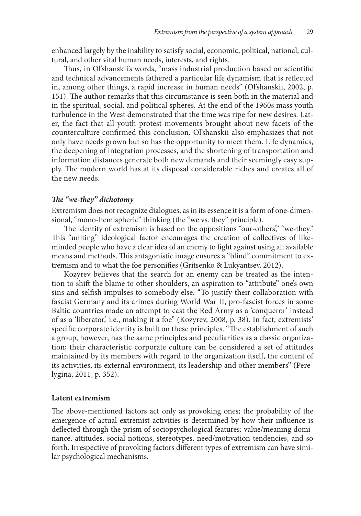enhanced largely by the inability to satisfy social, economic, political, national, cultural, and other vital human needs, interests, and rights.

Thus, in Ol'shanskii's words, "mass industrial production based on scientific and technical advancements fathered a particular life dynamism that is reflected in, among other things, a rapid increase in human needs" (Ol'shanskii, 2002, p. 151). The author remarks that this circumstance is seen both in the material and in the spiritual, social, and political spheres. At the end of the 1960s mass youth turbulence in the West demonstrated that the time was ripe for new desires. Later, the fact that all youth protest movements brought about new facets of the counterculture confirmed this conclusion. Ol'shanskii also emphasizes that not only have needs grown but so has the opportunity to meet them. Life dynamics, the deepening of integration processes, and the shortening of transportation and information distances generate both new demands and their seemingly easy supply. The modern world has at its disposal considerable riches and creates all of the new needs.

## *The "we-they" dichotomy*

Extremism does not recognize dialogues, as in its essence it is a form of one-dimensional, "mono-hemispheric" thinking (the "we vs. they" principle).

The identity of extremism is based on the oppositions "our-others," "we-they." This "uniting" ideological factor encourages the creation of collectives of likeminded people who have a clear idea of an enemy to fight against using all available means and methods. This antagonistic image ensures a "blind" commitment to extremism and to what the foe personifies (Gritsenko & Lukyantsev, 2012).

Kozyrev believes that the search for an enemy can be treated as the intention to shift the blame to other shoulders, an aspiration to "attribute" one's own sins and selfish impulses to somebody else. "To justify their collaboration with fascist Germany and its crimes during World War II, pro-fascist forces in some Baltic countries made an attempt to cast the Red Army as a 'conqueror' instead of as a 'liberator,' i.e., making it a foe" (Kozyrev, 2008, p. 38). In fact, extremists' specific corporate identity is built on these principles. "The establishment of such a group, however, has the same principles and peculiarities as a classic organization; their characteristic corporate culture can be considered a set of attitudes maintained by its members with regard to the organization itself, the content of its activities, its external environment, its leadership and other members" (Perelygina, 2011, p. 352).

#### **Latent extremism**

The above-mentioned factors act only as provoking ones; the probability of the emergence of actual extremist activities is determined by how their influence is deflected through the prism of sociopsychological features: value/meaning dominance, attitudes, social notions, stereotypes, need/motivation tendencies, and so forth. Irrespective of provoking factors different types of extremism can have similar psychological mechanisms.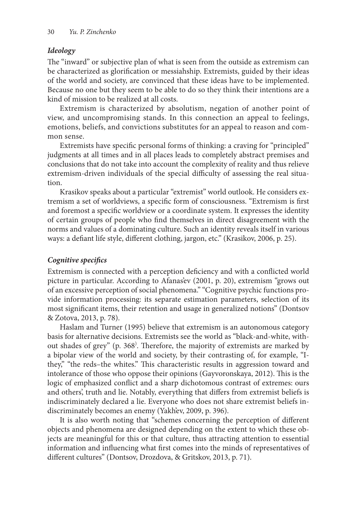## *Ideology*

The "inward" or subjective plan of what is seen from the outside as extremism can be characterized as glorification or messiahship. Extremists, guided by their ideas of the world and society, are convinced that these ideas have to be implemented. Because no one but they seem to be able to do so they think their intentions are a kind of mission to be realized at all costs.

Extremism is characterized by absolutism, negation of another point of view, and uncompromising stands. In this connection an appeal to feelings, emotions, beliefs, and convictions substitutes for an appeal to reason and common sense.

Extremists have specific personal forms of thinking: a craving for "principled" judgments at all times and in all places leads to completely abstract premises and conclusions that do not take into account the complexity of reality and thus relieve extremism-driven individuals of the special difficulty of assessing the real situation.

Krasikov speaks about a particular "extremist" world outlook. He considers extremism a set of worldviews, a specific form of consciousness. "Extremism is first and foremost a specific worldview or a coordinate system. It expresses the identity of certain groups of people who find themselves in direct disagreement with the norms and values of a dominating culture. Such an identity reveals itself in various ways: a defiant life style, different clothing, jargon, etc." (Krasikov, 2006, p. 25).

## *Cognitive specifics*

Extremism is connected with a perception deficiency and with a conflicted world picture in particular. According to Afanas'ev (2001, p. 20), extremism "grows out of an excessive perception of social phenomena." "Cognitive psychic functions provide information processing: its separate estimation parameters, selection of its most significant items, their retention and usage in generalized notions" (Dontsov & Zotova, 2013, p. 78).

Haslam and Turner (1995) believe that extremism is an autonomous category basis for alternative decisions. Extremists see the world as "black-and-white, without shades of grey" (p. 368<sup>)</sup>. Therefore, the majority of extremists are marked by a bipolar view of the world and society, by their contrasting of, for example, "I– they," "the reds–the whites." This characteristic results in aggression toward and intolerance of those who oppose their opinions (Gayvoronskaya, 2012). This is the logic of emphasized conflict and a sharp dichotomous contrast of extremes: ours and others', truth and lie. Notably, everything that differs from extremist beliefs is indiscriminately declared a lie. Everyone who does not share extremist beliefs indiscriminately becomes an enemy (Yakh'ev, 2009, p. 396).

It is also worth noting that "schemes concerning the perception of different objects and phenomena are designed depending on the extent to which these objects are meaningful for this or that culture, thus attracting attention to essential information and influencing what first comes into the minds of representatives of different cultures" (Dontsov, Drozdova, & Gritskov, 2013, p. 71).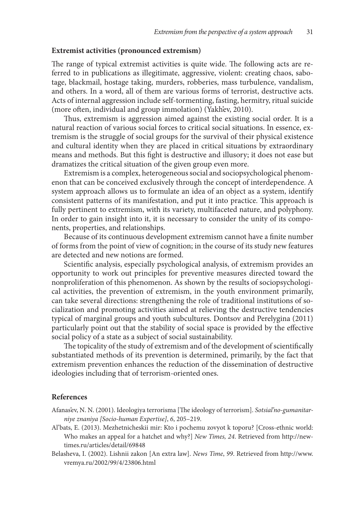#### **Extremist activities (pronounced extremism)**

The range of typical extremist activities is quite wide. The following acts are referred to in publications as illegitimate, aggressive, violent: creating chaos, sabotage, blackmail, hostage taking, murders, robberies, mass turbulence, vandalism, and others. In a word, all of them are various forms of terrorist, destructive acts. Acts of internal aggression include self-tormenting, fasting, hermitry, ritual suicide (more often, individual and group immolation) (Yakh'ev, 2010).

Thus, extremism is aggression aimed against the existing social order. It is a natural reaction of various social forces to critical social situations. In essence, extremism is the struggle of social groups for the survival of their physical existence and cultural identity when they are placed in critical situations by extraordinary means and methods. But this fight is destructive and illusory; it does not ease but dramatizes the critical situation of the given group even more.

Extremism is a complex, heterogeneous social and sociopsychological phenomenon that can be conceived exclusively through the concept of interdependence. A system approach allows us to formulate an idea of an object as a system, identify consistent patterns of its manifestation, and put it into practice. This approach is fully pertinent to extremism, with its variety, multifaceted nature, and polyphony. In order to gain insight into it, it is necessary to consider the unity of its components, properties, and relationships.

Because of its continuous development extremism cannot have a finite number of forms from the point of view of cognition; in the course of its study new features are detected and new notions are formed.

Scientific analysis, especially psychological analysis, of extremism provides an opportunity to work out principles for preventive measures directed toward the nonproliferation of this phenomenon. As shown by the results of sociopsychological activities, the prevention of extremism, in the youth environment primarily, can take several directions: strengthening the role of traditional institutions of socialization and promoting activities aimed at relieving the destructive tendencies typical of marginal groups and youth subcultures. Dontsov and Perelygina (2011) particularly point out that the stability of social space is provided by the effective social policy of a state as a subject of social sustainability.

The topicality of the study of extremism and of the development of scientifically substantiated methods of its prevention is determined, primarily, by the fact that extremism prevention enhances the reduction of the dissemination of destructive ideologies including that of terrorism-oriented ones.

### **References**

Afanas'ev, N. N. (2001). Ideologiya terrorisma [The ideology of terrorism]. *Sotsial'no-gumanitarniye znaniya [Socio-human Expertise]*, *6*, 205–219.

Al'bats, E. (2013). Mezhetnicheskii mir: Kto i pochemu zovyot k toporu? [Cross-ethnic world: Who makes an appeal for a hatchet and why?] *New Times, 24*. Retrieved from http://newtimes.ru/articles/detail/69848

Belasheva, I. (2002). Lishnii zakon [An extra law]. *News Time*, *99*. Retrieved from http://www. vremya.ru/2002/99/4/23806.html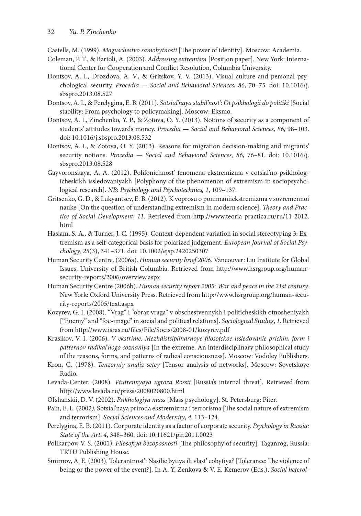Castells, M. (1999). *Moguschestvo samobytnosti* [The power of identity]. Moscow: Academia.

- Coleman, P. T., & Bartoli, A. (2003). *Addressing extremism* [Position paper]. New York: International Center for Cooperation and Conflict Resolution, Columbia University.
- Dontsov, A. I., Drozdova, A. V., & Gritskov, Y. V. (2013). Visual culture and personal psychological security. *Procedia — Social and Behavioral Sciences, 86*, 70–75. doi: 10.1016/j. sbspro.2013.08.527
- Dontsov, A. I., & Perelygina, E. B. (2011). *Sotsial'naya stabil'nost': Ot psikhologii do politiki* [Social stability: From psychology to policymaking]. Moscow: Eksmo.
- Dontsov, A. I., Zinchenko, Y. P., & Zotova, O. Y. (2013). Notions of security as a component of students' attitudes towards money. *Procedia — Social and Behavioral Sciences, 86*, 98–103. doi: 10.1016/j.sbspro.2013.08.532
- Dontsov, A. I., & Zotova, O. Y. (2013). Reasons for migration decision-making and migrants' security notions. *Procedia — Social and Behavioral Sciences, 86*, 76–81. doi: 10.1016/j. sbspro.2013.08.528
- Gayvoronskaya, A. A. (2012). Polifonichnost' fenomena ekstremizma v cotsial'no-psikhologicheskikh issledovaniyakh [Polyphony of the phenomenon of extremism in sociopsychological research]. *NB: Psychology and Psychotechnics, 1*, 109–137.
- Gritsenko, G. D., & Lukyantsev, E. B. (2012). K voprosu o ponimaniiekstremizma v sovremennoi nauke [On the question of understanding extremism in modern science]. *Theory and Practice of Social Development*, *11*. Retrieved from http://www.teoria-practica.ru/ru/11-2012. html
- Haslam, S. A., & Turner, J. C. (1995). Context-dependent variation in social stereotyping 3: Extremism as a self-categorical basis for polarized judgement. *European Journal of Social Psychology, 25*(3), 341–371. doi: 10.1002/ejsp.2420250307
- Human Security Centre. (2006a). *Human security brief 2006.* Vancouver: Liu Institute for Global Issues, University of British Columbia. Retrieved from http://www.hsrgroup.org/humansecurity-reports/2006/overview.aspx
- Human Security Centre (2006b). *Human security report 2005: War and peace in the 21st century.* New York: Oxford University Press. Retrieved from http://www.hsrgroup.org/human-security-reports/2005/text.aspx
- Kozyrev, G. I. (2008). "Vrag" i "obraz vraga" v obschestvennykh i politicheskikh otnosheniyakh ["Enemy" and "foe-image" in social and political relations]. *Sociological Studies*, *1*. Retrieved from http://www.isras.ru/files/File/Socis/2008-01/kozyrev.pdf
- Krasikov, V. I. (2006). *V ekstrime. Mezhdistsiplinarnoye filosofckoe issledovanie prichin, form i patternov radikal'nogo coznaniya* [In the extreme. An interdisciplinary philosophical study of the reasons, forms, and patterns of radical consciousness]. Moscow: Vodoley Publishers.
- Kron, G. (1978). *Tenzorniy analiz setey* [Tensor analysis of networks]. Moscow: Sovetskoye Radio.
- Levada-Center. (2008). *Vtutrennyaya ugroza Rossii* [Russia's internal threat]. Retrieved from http://www.levada.ru/press/2008020800.html
- Ol'shanskii, D. V. (2002). *Psikhologiya mass* [Mass psychology]. St. Petersburg: Piter.
- Pain, E. L. (2002*).* Sotsial'naya priroda ekstremizma i terrorisma [The social nature of extremism and terrorism]. *Social Sciences and Modernity*, *4*, 113–124.
- Perelygina, E. B. (2011). Corporate identity as a factor of corporate security. *Psychology in Russia: State of the Art*, *4*, 348–360. doi: 10.11621/pir.2011.0023
- Polikarpov, V. S. (2001). *Filosofiya bezopasnosti* [The philosophy of security]. Taganrog, Russia: TRTU Publishing House.
- Smirnov, A. E. (2003). Tolerantnost': Nasilie bytiya ili vlast' cobytiya? [Tolerance: The violence of being or the power of the event?]. In A. Y. Zenkova & V. E. Kemerov (Eds.), *Social heterol-*